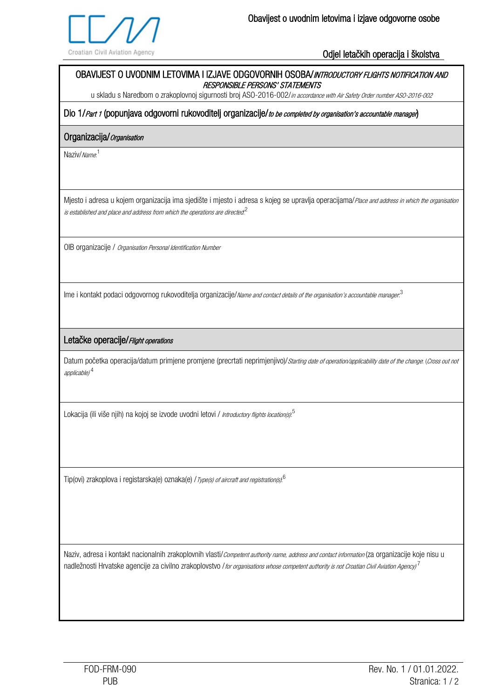

Odjel letačkih operacija i školstva

# OBAVIJEST O UVODNIM LETOVIMA I IZJAVE ODGOVORNIH OSOBA/INTRODUCTORY FLIGHTS NOTIFICATION AND RESPONSIBLE PERSONS' STATEMENTS

u skladu s Naredbom o zrakoplovnoj sigurnosti broj ASO-2016-002/in accordance with Air Safety Order number ASO-2016-002

Dio 1/Part 1 (popunjava odgovorni rukovoditelj organizacije/to be completed by organisation's accountable manager)

## Organizacija/ Organisation

Naziv/*Name*.<sup>1</sup>

Mjesto i adresa u kojem organizacija ima sjedište i mjesto i adresa s kojeg se upravlja operacijama/Place and address in which the organisation is established and place and address from which the operations are directed. $^{\mathsf{2}}$ 

OIB organizacije / Organisation Personal Identification Number

Ime i kontakt podaci odgovornog rukovoditelja organizacije/Name and contact details of the organisation's accountable manager.<sup>3</sup>

# Letačke operacije/ Flight operations

Datum početka operacija/datum primjene promjene (precrtati neprimjenjivo)/Starting date of operation/applicability date of the change: (Cross out not applicable) <sup>4</sup>

Lokacija (ili više njih) na kojoj se izvode uvodni letovi / *Introductory flights location(s)*.<sup>5</sup>

Tip(ovi) zrakoplova i registarska(e) oznaka(e) / Type(s) of aircraft and registration(s).<sup>6</sup>

Naziv, adresa i kontakt nacionalnih zrakoplovnih vlasti/Competent authority name, address and contact information (za organizacije koje nisu u nadležnosti Hrvatske agencije za civilno zrakoplovstvo *l tor organisations whose competent authority is not Croatian Civil Aviation Agency)* <sup>7</sup>